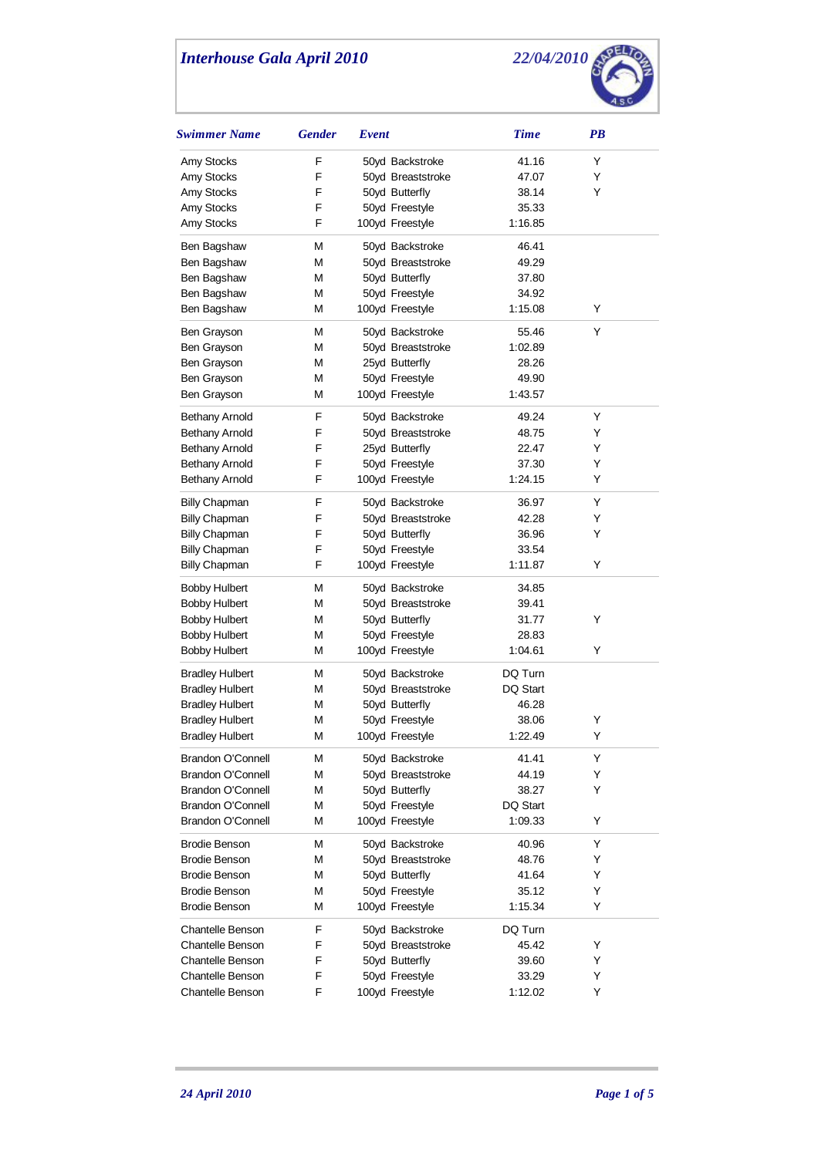

| Swimmer Name             | <b>Gender</b> | Event             | <b>Time</b> | PB |
|--------------------------|---------------|-------------------|-------------|----|
| Amy Stocks               | F             | 50yd Backstroke   | 41.16       | Y  |
| Amy Stocks               | F             | 50yd Breaststroke | 47.07       | Y  |
| Amy Stocks               | F             | 50yd Butterfly    | 38.14       | Y  |
| Amy Stocks               | F             | 50yd Freestyle    | 35.33       |    |
| Amy Stocks               | F             | 100yd Freestyle   | 1:16.85     |    |
| Ben Bagshaw              | М             | 50yd Backstroke   | 46.41       |    |
| Ben Bagshaw              | М             | 50yd Breaststroke | 49.29       |    |
| Ben Bagshaw              | М             | 50yd Butterfly    | 37.80       |    |
| Ben Bagshaw              | М             | 50yd Freestyle    | 34.92       |    |
| Ben Bagshaw              | М             | 100yd Freestyle   | 1:15.08     | Y  |
| Ben Grayson              | М             | 50yd Backstroke   | 55.46       | Υ  |
| Ben Grayson              | М             | 50yd Breaststroke | 1:02.89     |    |
| Ben Grayson              | М             | 25yd Butterfly    | 28.26       |    |
| Ben Grayson              | М             | 50yd Freestyle    | 49.90       |    |
| Ben Grayson              | М             | 100yd Freestyle   | 1:43.57     |    |
| <b>Bethany Arnold</b>    | F             | 50yd Backstroke   | 49.24       | Y  |
| <b>Bethany Arnold</b>    | F             | 50yd Breaststroke | 48.75       | Y  |
| <b>Bethany Arnold</b>    | F             | 25yd Butterfly    | 22.47       | Y  |
| <b>Bethany Arnold</b>    | F             | 50yd Freestyle    | 37.30       | Y  |
| <b>Bethany Arnold</b>    | F             | 100yd Freestyle   | 1:24.15     | Y  |
| Billy Chapman            | F             | 50yd Backstroke   | 36.97       | Y  |
| <b>Billy Chapman</b>     | F             | 50yd Breaststroke | 42.28       | Y  |
| <b>Billy Chapman</b>     | F             | 50yd Butterfly    | 36.96       | Y  |
| <b>Billy Chapman</b>     | F             | 50yd Freestyle    | 33.54       |    |
| <b>Billy Chapman</b>     | F             | 100yd Freestyle   | 1:11.87     | Y  |
| <b>Bobby Hulbert</b>     | М             | 50yd Backstroke   | 34.85       |    |
| <b>Bobby Hulbert</b>     | М             | 50yd Breaststroke | 39.41       |    |
| <b>Bobby Hulbert</b>     | М             | 50yd Butterfly    | 31.77       | Y  |
| <b>Bobby Hulbert</b>     | М             | 50yd Freestyle    | 28.83       |    |
| <b>Bobby Hulbert</b>     | М             | 100yd Freestyle   | 1:04.61     | Y  |
| <b>Bradley Hulbert</b>   | М             | 50yd Backstroke   | DQ Turn     |    |
| <b>Bradley Hulbert</b>   | М             | 50yd Breaststroke | DQ Start    |    |
| <b>Bradley Hulbert</b>   | М             | 50yd Butterfly    | 46.28       |    |
| <b>Bradley Hulbert</b>   | М             | 50yd Freestyle    | 38.06       | Y  |
| <b>Bradley Hulbert</b>   | M             | 100yd Freestyle   | 1:22.49     | Υ  |
| Brandon O'Connell        | М             | 50yd Backstroke   | 41.41       | Y  |
| <b>Brandon O'Connell</b> | М             | 50yd Breaststroke | 44.19       | Y  |
| Brandon O'Connell        | М             | 50yd Butterfly    | 38.27       | Y  |
| <b>Brandon O'Connell</b> | М             | 50yd Freestyle    | DQ Start    |    |
| Brandon O'Connell        | М             | 100yd Freestyle   | 1:09.33     | Y  |
| <b>Brodie Benson</b>     | М             | 50yd Backstroke   | 40.96       | Y  |
| Brodie Benson            | М             | 50yd Breaststroke | 48.76       | Y  |
| <b>Brodie Benson</b>     | М             | 50yd Butterfly    | 41.64       | Y  |
| <b>Brodie Benson</b>     | М             | 50yd Freestyle    | 35.12       | Y  |
| <b>Brodie Benson</b>     | М             | 100yd Freestyle   | 1:15.34     | Y  |
| Chantelle Benson         | F             | 50yd Backstroke   | DQ Turn     |    |
| Chantelle Benson         | F             | 50yd Breaststroke | 45.42       | Y  |
| <b>Chantelle Benson</b>  | F             | 50yd Butterfly    | 39.60       | Y  |
| Chantelle Benson         | F             | 50yd Freestyle    | 33.29       | Υ  |
| <b>Chantelle Benson</b>  | F             | 100yd Freestyle   | 1:12.02     | Y  |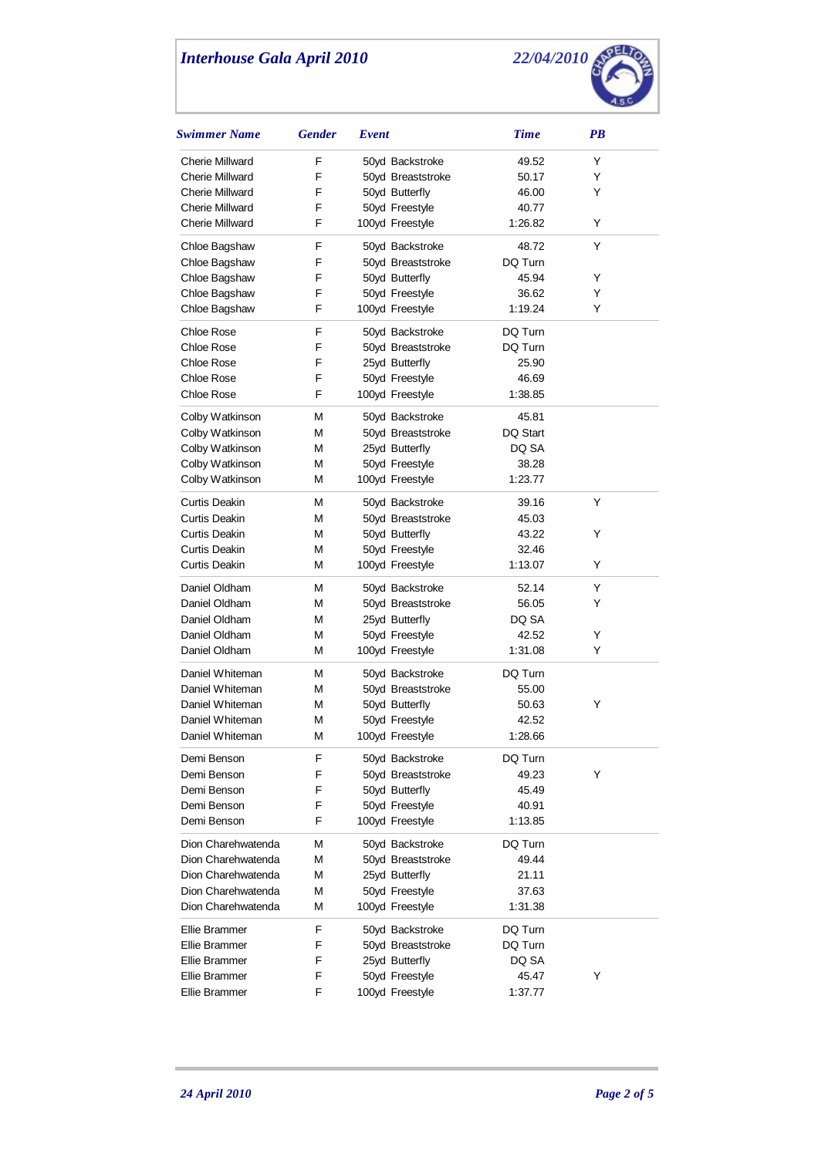

| Swimmer Name                   | <b>Gender</b> | Event |                                   | <b>Time</b>      | PB |
|--------------------------------|---------------|-------|-----------------------------------|------------------|----|
| <b>Cherie Millward</b>         | F             |       | 50yd Backstroke                   | 49.52            | Y  |
| <b>Cherie Millward</b>         | F             |       | 50yd Breaststroke                 | 50.17            | Y  |
| <b>Cherie Millward</b>         | F             |       | 50yd Butterfly                    | 46.00            | Y  |
| <b>Cherie Millward</b>         | F             |       | 50yd Freestyle                    | 40.77            |    |
| <b>Cherie Millward</b>         | F             |       | 100yd Freestyle                   | 1:26.82          | Y  |
| Chloe Bagshaw                  | F             |       | 50yd Backstroke                   | 48.72            | Y  |
| Chloe Bagshaw                  | F             |       | 50yd Breaststroke                 | DQ Turn          |    |
| Chloe Bagshaw                  | F             |       | 50yd Butterfly                    | 45.94            | Y  |
| Chloe Bagshaw                  | F             |       | 50yd Freestyle                    | 36.62            | Y  |
| Chloe Bagshaw                  | F             |       | 100yd Freestyle                   | 1:19.24          | Y  |
| Chloe Rose                     | F             |       | 50yd Backstroke                   | DQ Turn          |    |
| Chloe Rose                     | F             |       | 50yd Breaststroke                 | DQ Turn          |    |
| Chloe Rose                     | F             |       | 25yd Butterfly                    | 25.90            |    |
| Chloe Rose                     | F             |       | 50yd Freestyle                    | 46.69            |    |
| Chloe Rose                     | F             |       | 100yd Freestyle                   | 1:38.85          |    |
| Colby Watkinson                | М             |       | 50yd Backstroke                   | 45.81            |    |
| Colby Watkinson                | М             |       | 50yd Breaststroke                 | DQ Start         |    |
| Colby Watkinson                | М             |       | 25yd Butterfly                    | DQ SA            |    |
| Colby Watkinson                | М             |       | 50yd Freestyle                    | 38.28            |    |
| Colby Watkinson                | М             |       | 100yd Freestyle                   | 1:23.77          |    |
| Curtis Deakin                  | М             |       | 50yd Backstroke                   | 39.16            | Y  |
| Curtis Deakin                  | М             |       | 50yd Breaststroke                 | 45.03            |    |
| Curtis Deakin                  | М             |       | 50yd Butterfly                    | 43.22            | Y  |
| Curtis Deakin<br>Curtis Deakin | М<br>М        |       | 50yd Freestyle<br>100yd Freestyle | 32.46<br>1:13.07 | Y  |
| Daniel Oldham                  | M             |       | 50yd Backstroke                   | 52.14            | Y  |
| Daniel Oldham                  | м             |       | 50yd Breaststroke                 | 56.05            | Y  |
| Daniel Oldham                  | М             |       | 25yd Butterfly                    | DQ SA            |    |
| Daniel Oldham                  | М             |       | 50yd Freestyle                    | 42.52            | Y  |
| Daniel Oldham                  | М             |       | 100yd Freestyle                   | 1:31.08          | Y  |
| Daniel Whiteman                | М             |       | 50yd Backstroke                   | DQ Turn          |    |
| Daniel Whiteman                | М             |       | 50yd Breaststroke                 | 55.00            |    |
| Daniel Whiteman                | М             |       | 50yd Butterfly                    | 50.63            | Υ  |
| Daniel Whiteman                | М             |       | 50yd Freestyle                    | 42.52            |    |
| Daniel Whiteman                | M             |       | 100yd Freestyle                   | 1:28.66          |    |
| Demi Benson                    | F             |       | 50yd Backstroke                   | DQ Turn          |    |
| Demi Benson                    | F             |       | 50yd Breaststroke                 | 49.23            | Y  |
| Demi Benson                    | F             |       | 50yd Butterfly                    | 45.49            |    |
| Demi Benson                    | F             |       | 50yd Freestyle                    | 40.91            |    |
| Demi Benson                    | F             |       | 100yd Freestyle                   | 1:13.85          |    |
| Dion Charehwatenda             | М             |       | 50yd Backstroke                   | DQ Turn          |    |
| Dion Charehwatenda             | М             |       | 50yd Breaststroke                 | 49.44            |    |
| Dion Charehwatenda             | М             |       | 25yd Butterfly                    | 21.11            |    |
| Dion Charehwatenda             | М             |       | 50yd Freestyle                    | 37.63            |    |
| Dion Charehwatenda             | М             |       | 100yd Freestyle                   | 1:31.38          |    |
| Ellie Brammer                  | F             |       | 50yd Backstroke                   | DQ Turn          |    |
| Ellie Brammer                  | F             |       | 50yd Breaststroke                 | DQ Turn          |    |
| Ellie Brammer                  | F             |       | 25yd Butterfly                    | DQ SA            |    |
| Ellie Brammer                  | F             |       | 50yd Freestyle                    | 45.47            | Y  |
| Ellie Brammer                  | F             |       | 100yd Freestyle                   | 1:37.77          |    |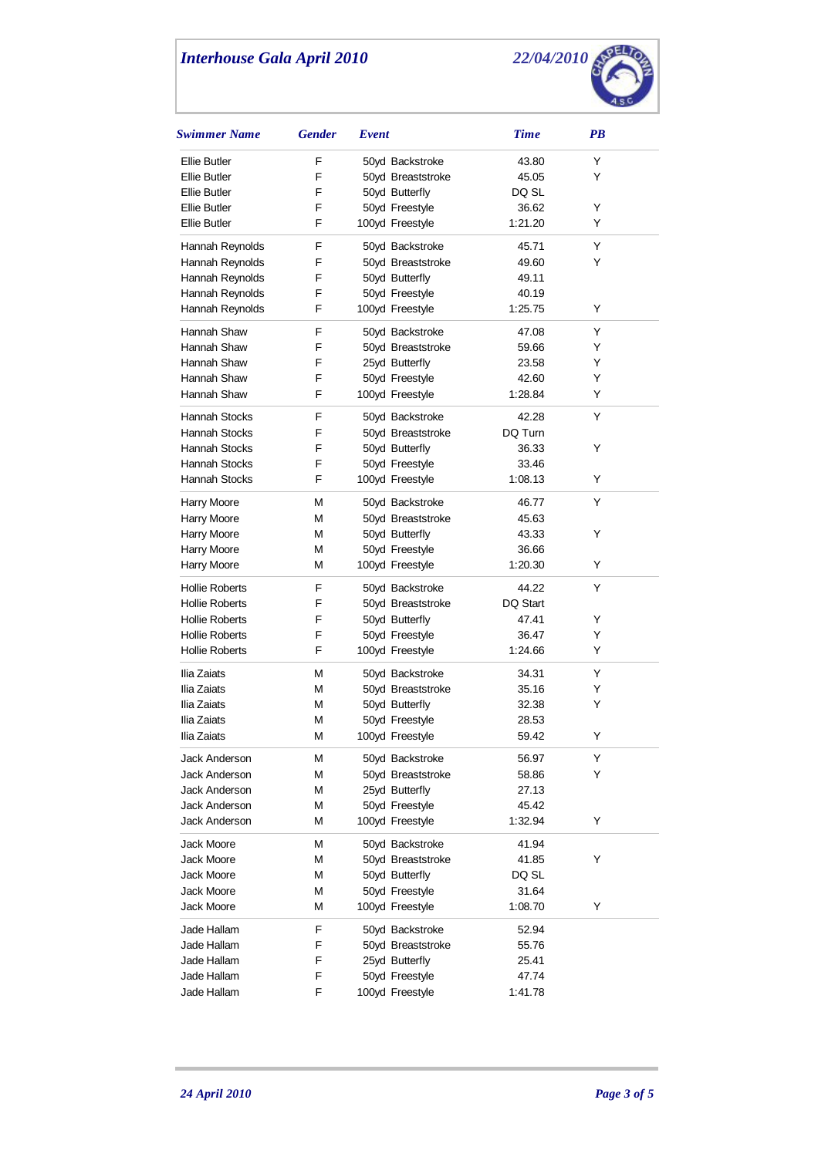

| <b>Swimmer Name</b>   | <b>Gender</b> | Event             | <b>Time</b> | $\overline{PB}$ |
|-----------------------|---------------|-------------------|-------------|-----------------|
| Ellie Butler          | F             | 50yd Backstroke   | 43.80       | Y               |
| Ellie Butler          | F             | 50yd Breaststroke | 45.05       | Y               |
| Ellie Butler          | F             | 50yd Butterfly    | DQ SL       |                 |
| Ellie Butler          | F             | 50yd Freestyle    | 36.62       | Y               |
| <b>Ellie Butler</b>   | F             | 100yd Freestyle   | 1:21.20     | Y               |
| Hannah Reynolds       | F             | 50yd Backstroke   | 45.71       | Y               |
| Hannah Reynolds       | F             | 50yd Breaststroke | 49.60       | Y               |
| Hannah Reynolds       | F             | 50yd Butterfly    | 49.11       |                 |
| Hannah Reynolds       | F             | 50yd Freestyle    | 40.19       |                 |
| Hannah Reynolds       | F             | 100yd Freestyle   | 1:25.75     | Y               |
| Hannah Shaw           | F             | 50yd Backstroke   | 47.08       | Y               |
| Hannah Shaw           | F             | 50yd Breaststroke | 59.66       | Y               |
| Hannah Shaw           | F             | 25yd Butterfly    | 23.58       | Y               |
| Hannah Shaw           | F             | 50yd Freestyle    | 42.60       | Y               |
| Hannah Shaw           | F             | 100yd Freestyle   | 1:28.84     | Y               |
| Hannah Stocks         | F             | 50yd Backstroke   | 42.28       | Y               |
| Hannah Stocks         | F             | 50yd Breaststroke | DQ Turn     |                 |
| Hannah Stocks         | F             | 50yd Butterfly    | 36.33       | Y               |
| <b>Hannah Stocks</b>  | F             | 50yd Freestyle    | 33.46       |                 |
| Hannah Stocks         | F             | 100yd Freestyle   | 1:08.13     | Y               |
| <b>Harry Moore</b>    | М             | 50yd Backstroke   | 46.77       | Y               |
| <b>Harry Moore</b>    | М             | 50yd Breaststroke | 45.63       |                 |
| Harry Moore           | М             | 50yd Butterfly    | 43.33       | Y               |
| <b>Harry Moore</b>    | М             | 50yd Freestyle    | 36.66       |                 |
| Harry Moore           | М             | 100yd Freestyle   | 1:20.30     | Y               |
| <b>Hollie Roberts</b> | F             | 50yd Backstroke   | 44.22       | Y               |
| <b>Hollie Roberts</b> | F             | 50yd Breaststroke | DQ Start    |                 |
| <b>Hollie Roberts</b> | F             | 50yd Butterfly    | 47.41       | Y               |
| <b>Hollie Roberts</b> | F             | 50yd Freestyle    | 36.47       | Y               |
| <b>Hollie Roberts</b> | F             | 100yd Freestyle   | 1:24.66     | Y               |
| Ilia Zaiats           | М             | 50yd Backstroke   | 34.31       | Y               |
| Ilia Zaiats           | М             | 50yd Breaststroke | 35.16       | Y               |
| Ilia Zaiats           | М             | 50yd Butterfly    | 32.38       | Y               |
| Ilia Zaiats           | М             | 50yd Freestyle    | 28.53       |                 |
| Ilia Zaiats           | M             | 100yd Freestyle   | 59.42       | Υ               |
| Jack Anderson         | М             | 50yd Backstroke   | 56.97       | Y               |
| Jack Anderson         | M             | 50yd Breaststroke | 58.86       | Y               |
| <b>Jack Anderson</b>  | M             | 25yd Butterfly    | 27.13       |                 |
| Jack Anderson         | М             | 50yd Freestyle    | 45.42       |                 |
| Jack Anderson         | М             | 100yd Freestyle   | 1:32.94     | Y               |
| <b>Jack Moore</b>     | M             | 50yd Backstroke   | 41.94       |                 |
| Jack Moore            | М             | 50yd Breaststroke | 41.85       | Y               |
| Jack Moore            | M             | 50yd Butterfly    | DQ SL       |                 |
| <b>Jack Moore</b>     | M             | 50yd Freestyle    | 31.64       |                 |
| Jack Moore            | М             | 100yd Freestyle   | 1:08.70     | Y               |
| Jade Hallam           | F             | 50yd Backstroke   | 52.94       |                 |
| Jade Hallam           | F             | 50yd Breaststroke | 55.76       |                 |
| Jade Hallam           | F             | 25yd Butterfly    | 25.41       |                 |
| Jade Hallam           | F             | 50yd Freestyle    | 47.74       |                 |
| Jade Hallam           | F             | 100yd Freestyle   | 1:41.78     |                 |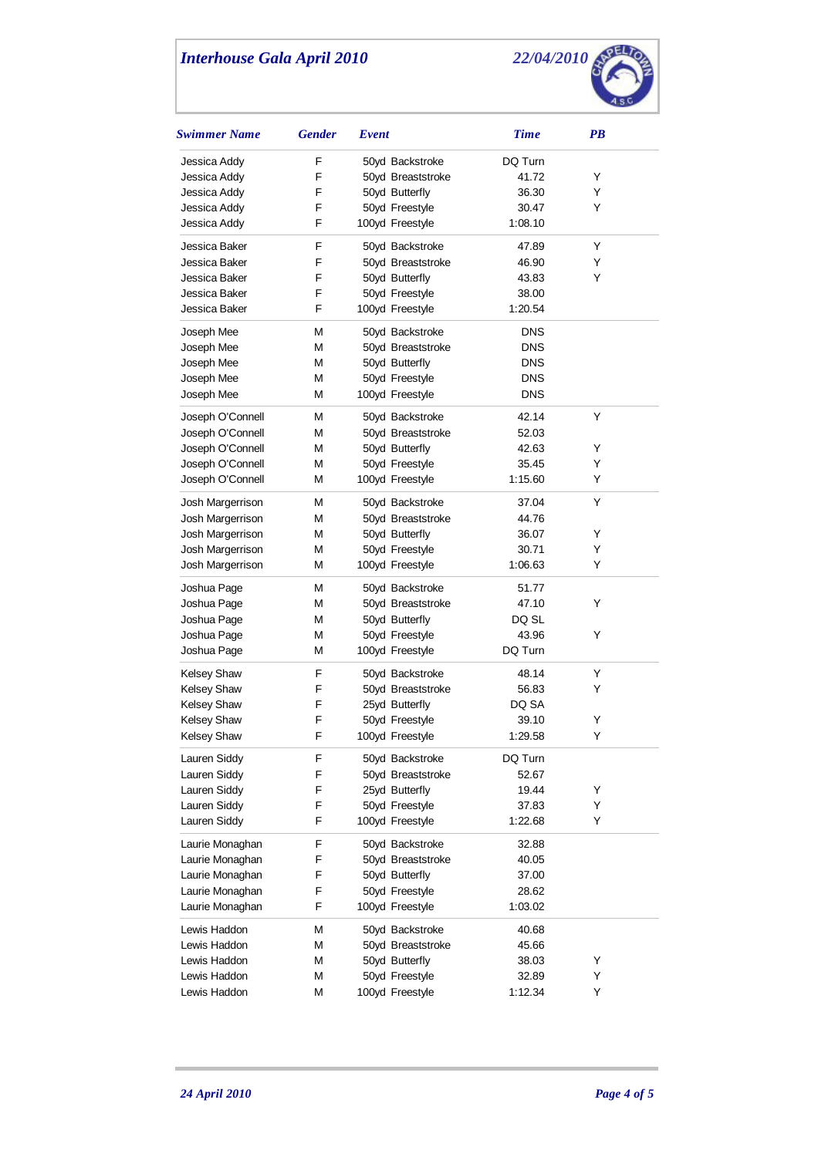

| Swimmer Name       | <b>Gender</b> | Event             | <b>Time</b> | <b>PB</b> |
|--------------------|---------------|-------------------|-------------|-----------|
| Jessica Addy       | F             | 50yd Backstroke   | DQ Turn     |           |
| Jessica Addy       | F             | 50yd Breaststroke | 41.72       | Y         |
| Jessica Addy       | F             | 50yd Butterfly    | 36.30       | Y         |
| Jessica Addy       | F             | 50yd Freestyle    | 30.47       | Y         |
| Jessica Addy       | F             | 100yd Freestyle   | 1:08.10     |           |
| Jessica Baker      | F             | 50yd Backstroke   | 47.89       | Y         |
| Jessica Baker      | F             | 50yd Breaststroke | 46.90       | Y         |
| Jessica Baker      | F             | 50yd Butterfly    | 43.83       | Y         |
| Jessica Baker      | F             | 50yd Freestyle    | 38.00       |           |
| Jessica Baker      | F             | 100yd Freestyle   | 1:20.54     |           |
| Joseph Mee         | М             | 50yd Backstroke   | <b>DNS</b>  |           |
| Joseph Mee         | М             | 50yd Breaststroke | DNS         |           |
| Joseph Mee         | М             | 50yd Butterfly    | <b>DNS</b>  |           |
| Joseph Mee         | М             | 50yd Freestyle    | <b>DNS</b>  |           |
| Joseph Mee         | М             | 100yd Freestyle   | <b>DNS</b>  |           |
| Joseph O'Connell   | М             | 50yd Backstroke   | 42.14       | Υ         |
| Joseph O'Connell   | М             | 50yd Breaststroke | 52.03       |           |
| Joseph O'Connell   | М             | 50yd Butterfly    | 42.63       | Y         |
| Joseph O'Connell   | М             | 50yd Freestyle    | 35.45       | Y         |
| Joseph O'Connell   | М             | 100yd Freestyle   | 1:15.60     | Y         |
| Josh Margerrison   | М             | 50yd Backstroke   | 37.04       | Y         |
| Josh Margerrison   | М             | 50yd Breaststroke | 44.76       |           |
| Josh Margerrison   | М             | 50yd Butterfly    | 36.07       | Υ         |
| Josh Margerrison   | М             | 50yd Freestyle    | 30.71       | Υ         |
| Josh Margerrison   | М             | 100yd Freestyle   | 1:06.63     | Υ         |
| Joshua Page        | М             | 50yd Backstroke   | 51.77       |           |
| Joshua Page        | М             | 50yd Breaststroke | 47.10       | Y         |
| Joshua Page        | М             | 50yd Butterfly    | DQ SL       |           |
| Joshua Page        | М             | 50yd Freestyle    | 43.96       | Υ         |
| Joshua Page        | М             | 100yd Freestyle   | DQ Turn     |           |
| <b>Kelsey Shaw</b> | F             | 50yd Backstroke   | 48.14       | Υ         |
| <b>Kelsey Shaw</b> | F             | 50yd Breaststroke | 56.83       | Y         |
| <b>Kelsey Shaw</b> | F             | 25yd Butterfly    | DQ SA       |           |
| Kelsey Shaw        | F             | 50yd Freestyle    | 39.10       | Υ         |
| Kelsey Shaw        | F             | 100yd Freestyle   | 1:29.58     | Υ         |
| Lauren Siddy       | F             | 50yd Backstroke   | DQ Turn     |           |
| Lauren Siddy       | F             | 50yd Breaststroke | 52.67       |           |
| Lauren Siddy       | F             | 25yd Butterfly    | 19.44       | Y         |
| Lauren Siddy       | F             | 50yd Freestyle    | 37.83       | Y         |
| Lauren Siddy       | F             | 100yd Freestyle   | 1:22.68     | Y         |
| Laurie Monaghan    | F             | 50yd Backstroke   | 32.88       |           |
| Laurie Monaghan    | F             | 50yd Breaststroke | 40.05       |           |
| Laurie Monaghan    | F             | 50yd Butterfly    | 37.00       |           |
| Laurie Monaghan    | F             | 50yd Freestyle    | 28.62       |           |
| Laurie Monaghan    | F             | 100yd Freestyle   | 1:03.02     |           |
| Lewis Haddon       | М             | 50yd Backstroke   | 40.68       |           |
| Lewis Haddon       | М             | 50yd Breaststroke | 45.66       |           |
| Lewis Haddon       | М             | 50yd Butterfly    | 38.03       | Y         |
| Lewis Haddon       | М             | 50yd Freestyle    | 32.89       | Y         |
| Lewis Haddon       | М             | 100yd Freestyle   | 1:12.34     | Υ         |